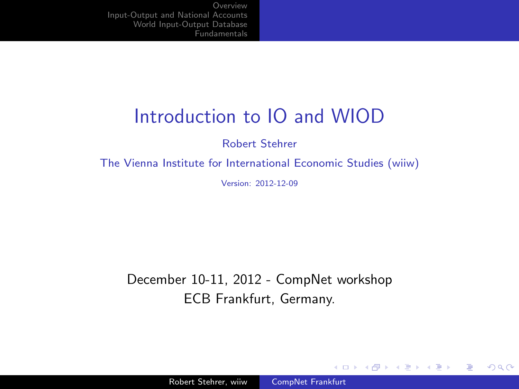# Introduction to IO and WIOD

Robert Stehrer

The Vienna Institute for International Economic Studies (wiiw)

Version: 2012-12-09

December 10-11, 2012 - CompNet workshop ECB Frankfurt, Germany.

4 0 8

- ④ 伊 ≯ ④ 重 ≯ ④ 重

<span id="page-0-0"></span>э

**SIL**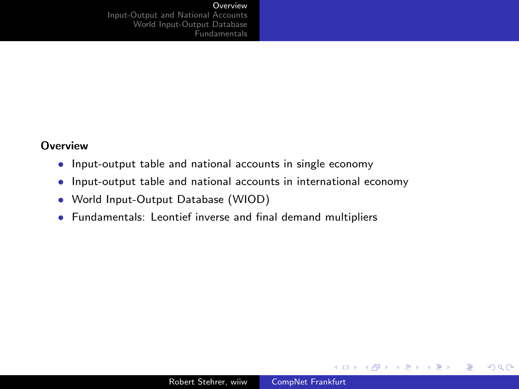#### **[Overview](#page-1-0)**

[Input-Output and National Accounts](#page-2-0) [World Input-Output Database](#page-14-0) [Fundamentals](#page-24-0)

### **Overview**

- Input-output table and national accounts in single economy
- Input-output table and national accounts in international economy
- World Input-Output Database (WIOD)
- Fundamentals: Leontief inverse and final demand multipliers

 $\rightarrow$   $\oplus$   $\rightarrow$   $\rightarrow$   $\oplus$   $\rightarrow$   $\rightarrow$   $\oplus$ 

<span id="page-1-0"></span> $\sim$ э

4 0 8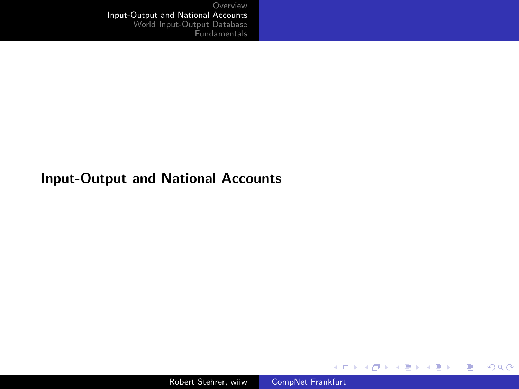### Input-Output and National Accounts

メロメ メ部メ メミメ メミメ

<span id="page-2-0"></span>目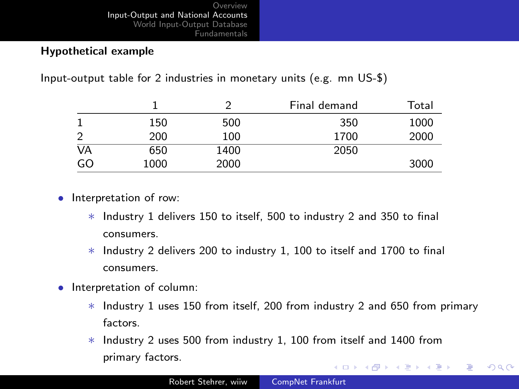### Hypothetical example

Input-output table for 2 industries in monetary units (e.g. mn US-\$)

|                |      |      | Final demand | Total |
|----------------|------|------|--------------|-------|
|                | 150  | 500  | 350          | 1000  |
| $\overline{2}$ | 200  | 100  | 1700         | 2000  |
| VA             | 650  | 1400 | 2050         |       |
| GO             | 1000 | 2000 |              | 3000  |

- Interpretation of row:
	- ∗ Industry 1 delivers 150 to itself, 500 to industry 2 and 350 to final consumers.
	- ∗ Industry 2 delivers 200 to industry 1, 100 to itself and 1700 to final consumers.
- Interpretation of column:
	- ∗ Industry 1 uses 150 from itself, 200 from industry 2 and 650 from primary factors.

 $QQ$ 

重

∗ Industry 2 uses 500 from industry 1, 100 from itself and 1400 from primary factors. イロメ イ母メ イヨメ イヨメー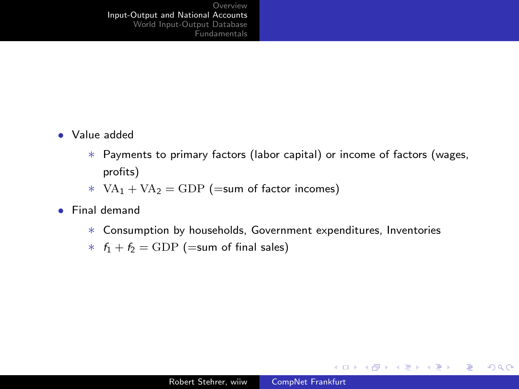- Value added
	- ∗ Payments to primary factors (labor capital) or income of factors (wages, profits)
	- $*$  VA<sub>1</sub> + VA<sub>2</sub> = GDP (=sum of factor incomes)
- Final demand
	- ∗ Consumption by households, Government expenditures, Inventories
	- $*$   $f_1 + f_2 = \text{GDP}$  (=sum of final sales)

 $2990$ 

重

メロメ メ母メ メミメメミメ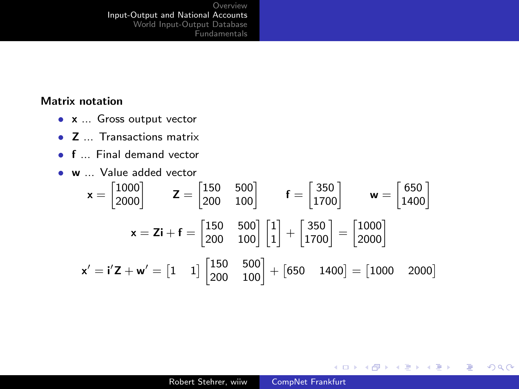### Matrix notation

- x ... Gross output vector
- Z ... Transactions matrix
- f ... Final demand vector
- w ... Value added vector

$$
\mathbf{x} = \begin{bmatrix} 1000 \\ 2000 \end{bmatrix} \qquad \mathbf{Z} = \begin{bmatrix} 150 & 500 \\ 200 & 100 \end{bmatrix} \qquad \mathbf{f} = \begin{bmatrix} 350 \\ 1700 \end{bmatrix} \qquad \mathbf{w} = \begin{bmatrix} 650 \\ 1400 \end{bmatrix}
$$

$$
\mathbf{x} = \mathbf{Zi} + \mathbf{f} = \begin{bmatrix} 150 & 500 \\ 200 & 100 \end{bmatrix} \begin{bmatrix} 1 \\ 1 \end{bmatrix} + \begin{bmatrix} 350 \\ 1700 \end{bmatrix} = \begin{bmatrix} 1000 \\ 2000 \end{bmatrix}
$$

$$
\mathbf{x}' = \mathbf{i}'\mathbf{Z} + \mathbf{w}' = \begin{bmatrix} 1 & 1 \end{bmatrix} \begin{bmatrix} 150 & 500 \\ 200 & 100 \end{bmatrix} + \begin{bmatrix} 650 & 1400 \end{bmatrix} = \begin{bmatrix} 1000 & 2000 \end{bmatrix}
$$

イロト イ部 トイ君 トイ君 ト

目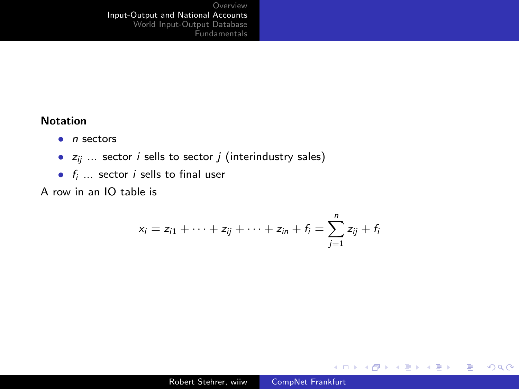### Notation

- $\bullet$  n sectors
- $z_{ii}$  ... sector *i* sells to sector *j* (interindustry sales)
- $f_i$   $\ldots$  sector *i* sells to final user

A row in an IO table is

$$
x_i = z_{i1} + \cdots + z_{ij} + \cdots + z_{in} + f_i = \sum_{j=1}^n z_{ij} + f_i
$$

目

メロト メ団 トメ ミト メミト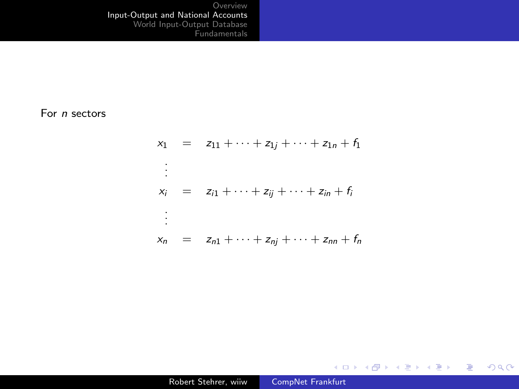#### For n sectors

$$
x_1 = z_{11} + \dots + z_{1j} + \dots + z_{1n} + f_1
$$
  
\n
$$
\vdots
$$
  
\n
$$
x_i = z_{i1} + \dots + z_{ij} + \dots + z_{in} + f_i
$$
  
\n
$$
\vdots
$$
  
\n
$$
x_n = z_{n1} + \dots + z_{nj} + \dots + z_{nn} + f_n
$$

メロメ メタメ メミメ メミメー

重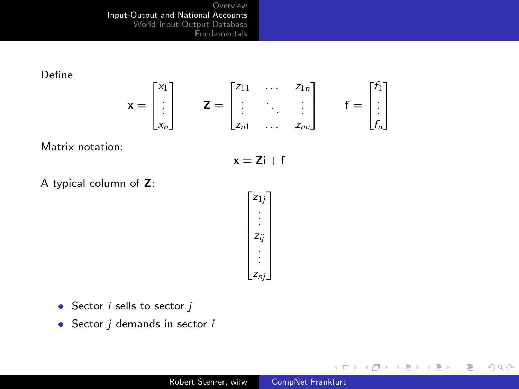Define

$$
\mathbf{x} = \begin{bmatrix} x_1 \\ \vdots \\ x_n \end{bmatrix} \qquad \mathbf{Z} = \begin{bmatrix} z_{11} & \dots & z_{1n} \\ \vdots & \ddots & \vdots \\ z_{n1} & \dots & z_{nn} \end{bmatrix} \qquad \mathbf{f} = \begin{bmatrix} f_1 \\ \vdots \\ f_n \end{bmatrix}
$$

Matrix notation:

$$
\mathbf{x} = \mathbf{Zi} + \mathbf{f}
$$

A typical column of Z:

$$
\begin{bmatrix} z_{1j} \\ \vdots \\ z_{ij} \\ \vdots \\ z_{nj} \end{bmatrix}
$$

- Sector  $i$  sells to sector  $j$
- Sector  $j$  demands in sector  $i$

イロト イ部 トイ君 トイ君 ト

目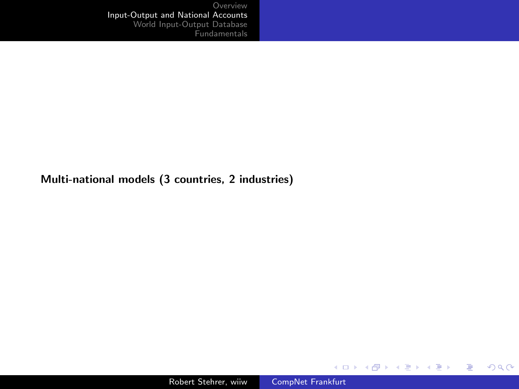### Multi-national models (3 countries, 2 industries)

メロメ メ御き メミメ メミメー

<span id="page-9-0"></span>目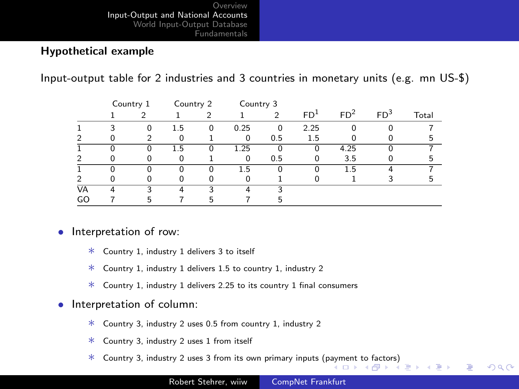### Hypothetical example

Input-output table for 2 industries and 3 countries in monetary units (e.g. mn US-\$)

|                | Country 1 |          | Country 2 |   | Country 3 |          |                 |                 |                 |       |
|----------------|-----------|----------|-----------|---|-----------|----------|-----------------|-----------------|-----------------|-------|
|                |           |          |           |   |           |          | FD <sup>1</sup> | FD <sup>2</sup> | FD <sup>3</sup> | Total |
|                |           | $\Omega$ | 1.5       | 0 | 0.25      | $\Omega$ | 2.25            |                 |                 |       |
| $\overline{2}$ |           | ◠        | 0         |   | 0         | 0.5      | 1.5             |                 |                 | 5     |
|                |           |          | 1.5       | Ω | 1.25      | 0        | 0               | 4.25            |                 |       |
| 2              |           |          |           |   | $\Omega$  | 0.5      |                 | 3.5             |                 | h     |
|                |           |          |           |   | 1.5       | o        |                 | 1.5             |                 |       |
| 2              |           |          |           |   | O         |          |                 |                 |                 | ҕ,    |
| VA             |           |          |           |   |           |          |                 |                 |                 |       |
| GO             |           |          |           |   |           | h        |                 |                 |                 |       |

#### • Interpretation of row:

- ∗ Country 1, industry 1 delivers 3 to itself
- ∗ Country 1, industry 1 delivers 1.5 to country 1, industry 2
- ∗ Country 1, industry 1 delivers 2.25 to its country 1 final consumers
- Interpretation of column:
	- ∗ Country 3, industry 2 uses 0.5 from country 1, industry 2
	- ∗ Country 3, industry 2 uses 1 from itself
	- ∗ Country 3, industry 2 uses 3 from its own primary inputs (p[aym](#page-9-0)e[nt](#page-11-0) [to](#page-9-0) [fac](#page-10-0)[tor](#page-11-0)[s\)](#page-0-0)

<span id="page-10-0"></span>E

 $\equiv$   $\rightarrow$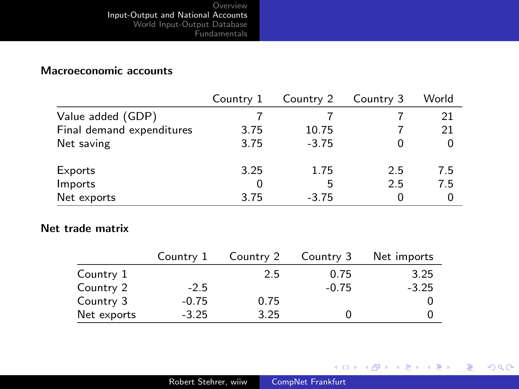### Macroeconomic accounts

|                           | Country 1 | Country 2 | Country 3 | World |
|---------------------------|-----------|-----------|-----------|-------|
| Value added (GDP)         |           |           |           | 21    |
| Final demand expenditures | 3.75      | 10.75     |           | 21    |
| Net saving                | 3.75      | $-3.75$   |           | 0     |
| Exports                   | 3.25      | 1.75      | 25        | 7.5   |
| Imports                   |           | 5         | 2.5       | 7.5   |
| Net exports               | 3.75      | $-3.75$   |           | 0     |

### Net trade matrix

|             | Country 1 | Country 2 | Country 3 | Net imports |
|-------------|-----------|-----------|-----------|-------------|
| Country 1   |           | 2.5       | 0.75      | 3.25        |
| Country 2   | $-2.5$    |           | $-0.75$   | $-3.25$     |
| Country 3   | $-0.75$   | 0.75      |           |             |
| Net exports | $-3.25$   | 3.25      |           |             |

メロメ メ御き メミメ メミメー

<span id="page-11-0"></span>目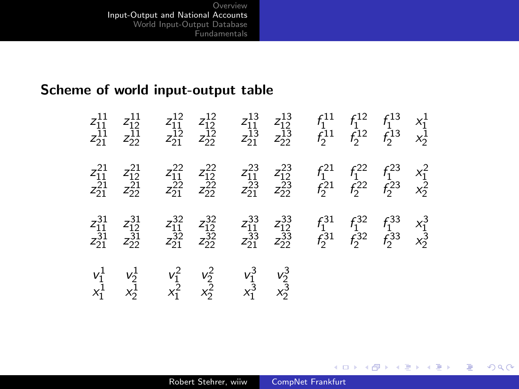# Scheme of world input-output table

| $\begin{array}{c} z_{11}^{11}\\ z_{21}^{11} \end{array}$ | $\begin{array}{c} z_{12}^{11}\\ z_{22}^{11} \end{array}$               | $\frac{z_{11}^{12}}{z_{21}^{12}}$                                      | $\frac{z_{12}^{12}}{z_{22}^{12}}$ | $\frac{z_{11}^{13}}{z_{21}^{13}}$                                      | $\frac{z_{12}^{13}}{z_{22}^{13}}$                        | $f_1^{11}$<br>$f_2^{11}$ | $f_1^{12}$<br>$f_2^{12}$ | $f_1^{13}$<br>$f_2^{13}$ | $x_1^1$<br>$x_2^1$ |
|----------------------------------------------------------|------------------------------------------------------------------------|------------------------------------------------------------------------|-----------------------------------|------------------------------------------------------------------------|----------------------------------------------------------|--------------------------|--------------------------|--------------------------|--------------------|
| $\begin{array}{c} z_{11}^{21}\\ z_{21}^{21} \end{array}$ | $\begin{array}{c} z_{12}^{21}\\ z_{22}^{21}\\ z_{22}^{22} \end{array}$ | $\begin{array}{c} z_{11}^{22}\\ z_{21}^{22}\\ z_{21}^{22} \end{array}$ | $\frac{z_{12}^{22}}{z_{22}^{22}}$ | $\begin{array}{c} z_{11}^{23}\\ z_{21}^{23}\\ z_{21}^{23} \end{array}$ | $\begin{array}{c} z_{12}^{23}\\ z_{22}^{23} \end{array}$ | $f_1^{21}$<br>$f_2^{21}$ | $f_1^{22}$<br>$f_2^{22}$ | $f_1^{23}$<br>$f_2^{23}$ | $x_1^2$<br>$x_2^2$ |
| $\frac{z_{11}^{31}}{z_{21}^{31}}$                        | $\begin{array}{c} z_{12}^{31}\\ z_{22}^{31} \end{array}$               | $\begin{array}{c} z_{11}^{32}\\ z_{21}^{32}\\ z_{21}^{32} \end{array}$ | $\frac{z_{12}^{32}}{z_{22}^{32}}$ | $\begin{array}{c} z_{11}^{33}\\ z_{21}^{33}\\ z_{21}^{33} \end{array}$ | $\frac{z_{12}^{33}}{z_{22}^{33}}$                        | $f_1^{31}$<br>$f_2^{31}$ | $f_1^{32}$<br>$f_2^{32}$ | $f_1^{33}$<br>$f_2^{33}$ | $x_1^3$<br>$x_2^3$ |
| $\begin{matrix} v_1^1 \\ x_1^1 \end{matrix}$             | $\frac{v_2^1}{x_2^1}$                                                  | $\frac{v_1^2}{x_1^2}$                                                  | $\frac{v_2^2}{x_2^2}$             | $\frac{v_1^3}{x_1^3}$                                                  | $\frac{v_2^3}{x_2^3}$                                    |                          |                          |                          |                    |

イロト イ部 トイ君 トイ君 ト

目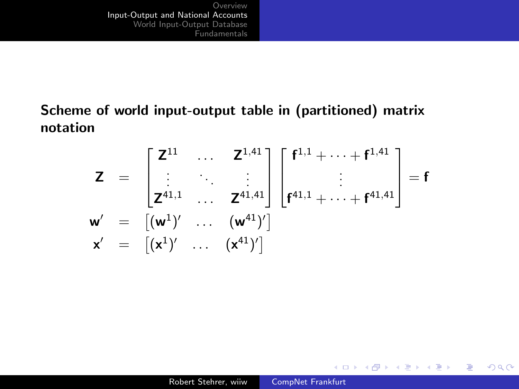# Scheme of world input-output table in (partitioned) matrix notation

$$
Z = \begin{bmatrix} Z^{11} & \cdots & Z^{1,41} \\ \vdots & \ddots & \vdots \\ Z^{41,1} & \cdots & Z^{41,41} \end{bmatrix} \begin{bmatrix} f^{1,1} + \cdots + f^{1,41} \\ \vdots \\ f^{41,1} + \cdots + f^{41,41} \end{bmatrix} = f
$$
  

$$
w' = \begin{bmatrix} (w^1)' & \cdots & (w^{41})' \end{bmatrix}
$$
  

$$
x' = \begin{bmatrix} x^1)' & \cdots & (x^{41})' \end{bmatrix}
$$

メロメ メ部メ メミメ メミメ

目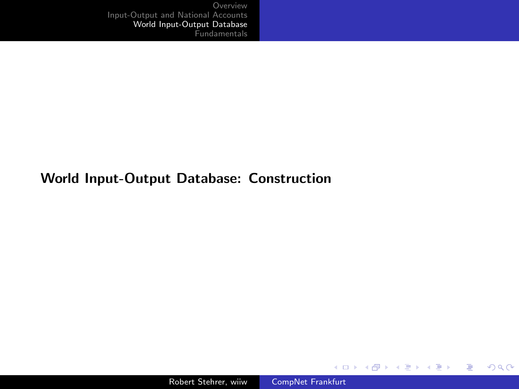### World Input-Output Database: Construction

メロメ メ都 メメ きょくきょう

<span id="page-14-0"></span>目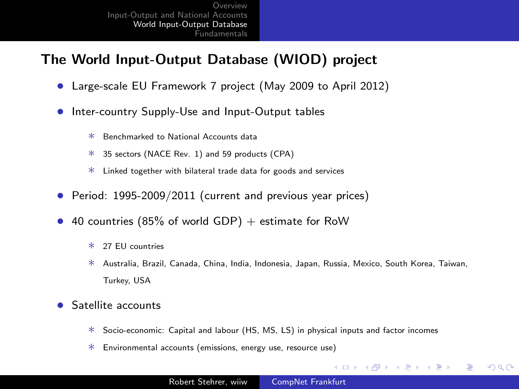# The World Input-Output Database (WIOD) project

- Large-scale EU Framework 7 project (May 2009 to April 2012)
- Inter-country Supply-Use and Input-Output tables
	- ∗ Benchmarked to National Accounts data
	- ∗ 35 sectors (NACE Rev. 1) and 59 products (CPA)
	- ∗ Linked together with bilateral trade data for goods and services
- Period: 1995-2009/2011 (current and previous year prices)
- 40 countries (85% of world GDP)  $+$  estimate for RoW
	- ∗ 27 EU countries
	- ∗ Australia, Brazil, Canada, China, India, Indonesia, Japan, Russia, Mexico, South Korea, Taiwan, Turkey, USA

4 17 18

- ④ 伊 ▶ ④ ヨ ▶ ④ ヨ ▶

э

- Satellite accounts
	- ∗ Socio-economic: Capital and labour (HS, MS, LS) in physical inputs and factor incomes
	- ∗ Environmental accounts (emissions, energy use, resource use)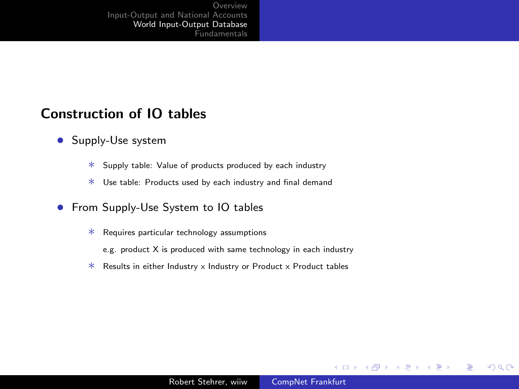### Construction of IO tables

- Supply-Use system
	- ∗ Supply table: Value of products produced by each industry
	- ∗ Use table: Products used by each industry and final demand

### **•** From Supply-Use System to IO tables

- ∗ Requires particular technology assumptions
	- e.g. product X is produced with same technology in each industry
- ∗ Results in either Industry x Industry or Product x Product tables

4 0 8

**K 何 ▶ 【 手 ▶** 

一本語 **B** э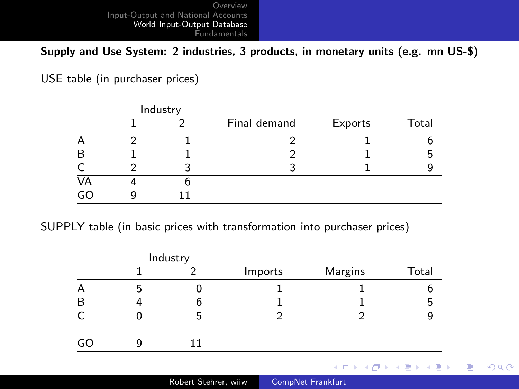Supply and Use System: 2 industries, 3 products, in monetary units (e.g. mn US-\$)

USE table (in purchaser prices)

|    | Industry |              |         |       |
|----|----------|--------------|---------|-------|
|    |          | Final demand | Exports | Total |
| Α  |          |              |         |       |
| B  |          |              |         | 5     |
| C  |          |              |         |       |
| VĀ |          |              |         |       |
| GO |          |              |         |       |

SUPPLY table (in basic prices with transformation into purchaser prices)

|    |   | Industry |         |         |                                                           |
|----|---|----------|---------|---------|-----------------------------------------------------------|
|    |   |          | Imports | Margins | Total                                                     |
| Α  | 5 | U        |         |         |                                                           |
| B  | 4 | 6        |         |         | 5                                                         |
| C  |   | 5        |         |         |                                                           |
| GO | Q | 11       |         |         |                                                           |
|    |   |          |         |         | $A \cup B$ $A \cup B$ $B \cup A \cup B$ $B \cup A \cup B$ |

 $299$ 

э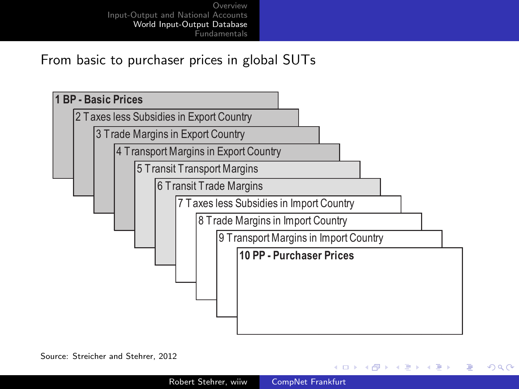From basic to purchaser prices in global SUTs



Source: Streicher and Stehrer, 2012

4日 8

④ イ 伊 ト ( 手  $\sim$ ヨト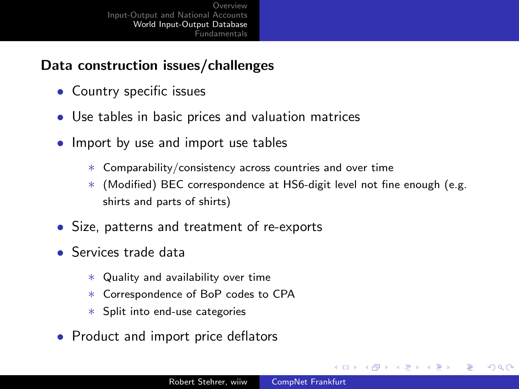# Data construction issues/challenges

- Country specific issues
- Use tables in basic prices and valuation matrices
- Import by use and import use tables
	- ∗ Comparability/consistency across countries and over time
	- ∗ (Modified) BEC correspondence at HS6-digit level not fine enough (e.g. shirts and parts of shirts)
- Size, patterns and treatment of re-exports
- Services trade data
	- ∗ Quality and availability over time
	- ∗ Correspondence of BoP codes to CPA
	- ∗ Split into end-use categories
- Product and import price deflators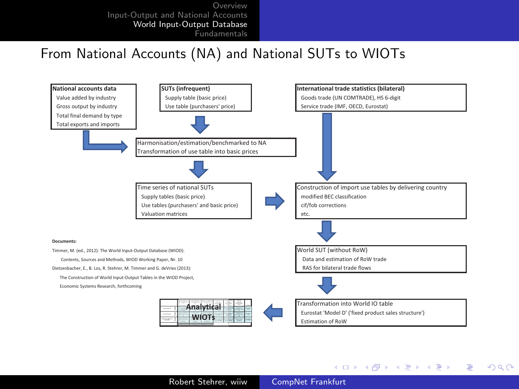### From National Accounts (NA) and National SUTs to WIOTs



Robert Stehrer, wiiw [CompNet Frankfurt](#page-0-0)

イロメ イ母メ イヨメ イヨメーヨ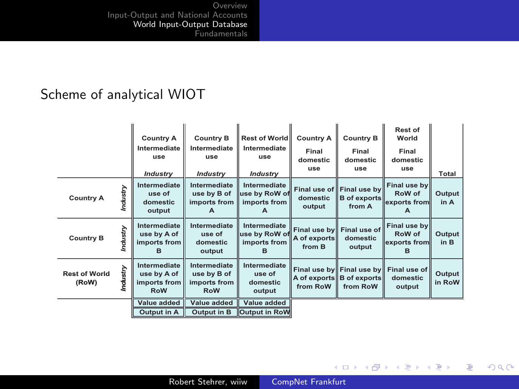# Scheme of analytical WIOT

|                               |          | <b>Country A</b><br>Intermediate<br>use<br><b>Industry</b> | <b>Country B</b><br>Intermediate<br>use<br><b>Industry</b> | <b>Rest of World</b><br>Intermediate<br>use<br><b>Industry</b> | <b>Country A</b><br>Final<br>domestic<br>use | <b>Country B</b><br>Final<br>domestic<br>use               | Rest of<br>World<br>Final<br>domestic<br>use                 | Total            |
|-------------------------------|----------|------------------------------------------------------------|------------------------------------------------------------|----------------------------------------------------------------|----------------------------------------------|------------------------------------------------------------|--------------------------------------------------------------|------------------|
| <b>Country A</b>              | Industry | Intermediate<br>use of<br>domestic<br>output               | Intermediate<br>use by B of<br>imports from<br>A           | Intermediate<br>use by RoW of<br>imports from<br>A             | domestic<br>output                           | Final use of Final use by<br><b>B</b> of exports<br>from A | Final use by<br>RoW of<br>exports from<br>A                  | Output<br>in A   |
| <b>Country B</b>              | Industry | Intermediate<br>use by A of<br>imports from<br>в           | Intermediate<br>use of<br>domestic<br>output               | Intermediate<br>use by RoW of<br>imports from                  | A of exports<br>from B                       | Final use by Final use of<br>domestic<br>output            | Final use by<br>RoW of<br>exports from<br>в                  | Output<br>in B   |
| <b>Rest of World</b><br>(RoW) | Industry | Intermediate<br>use by A of<br>imports from<br><b>RoW</b>  | Intermediate<br>use by B of<br>imports from<br><b>RoW</b>  | Intermediate<br>use of<br>domestic<br>output                   | from RoW                                     | A of exports B of exports<br>from RoW                      | Final use by Final use by Final use of<br>domestic<br>output | Output<br>in RoW |
|                               |          | Value added                                                | Value added                                                | Value added                                                    |                                              |                                                            |                                                              |                  |
|                               |          | Output in A                                                | Output in B                                                | <b>Output in RoW</b>                                           |                                              |                                                            |                                                              |                  |

メロト メ都 トメ 君 トメ 君 ト

目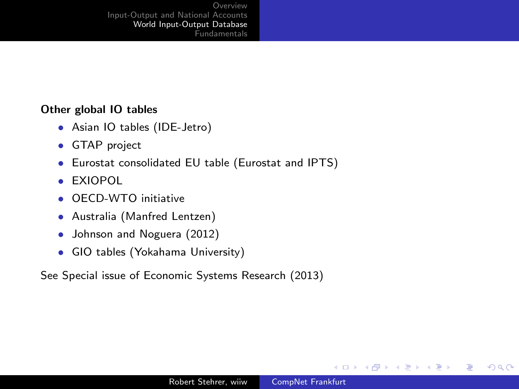### Other global IO tables

- Asian IO tables (IDE-Jetro)
- GTAP project
- Eurostat consolidated EU table (Eurostat and IPTS)
- EXIOPOL
- OECD-WTO initiative
- Australia (Manfred Lentzen)
- Johnson and Noguera (2012)
- GIO tables (Yokahama University)

See Special issue of Economic Systems Research (2013)

4日)

**K 何 ▶ 【 手 ▶** 

一本語

-b

э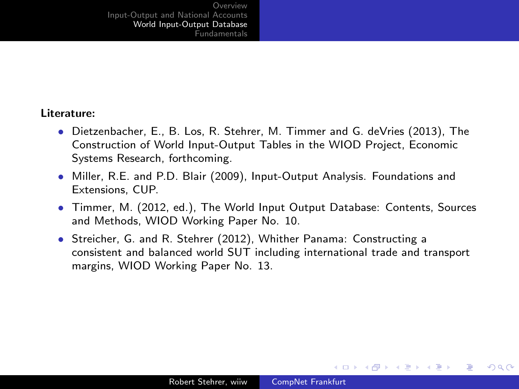#### Literature:

- Dietzenbacher, E., B. Los, R. Stehrer, M. Timmer and G. deVries (2013), The Construction of World Input-Output Tables in the WIOD Project, Economic Systems Research, forthcoming.
- Miller, R.E. and P.D. Blair (2009), Input-Output Analysis. Foundations and Extensions, CUP.
- Timmer, M. (2012, ed.), The World Input Output Database: Contents, Sources and Methods, WIOD Working Paper No. 10.
- Streicher, G. and R. Stehrer (2012), Whither Panama: Constructing a consistent and balanced world SUT including international trade and transport margins, WIOD Working Paper No. 13.

メロメ メ母メ メミメ メミメ

э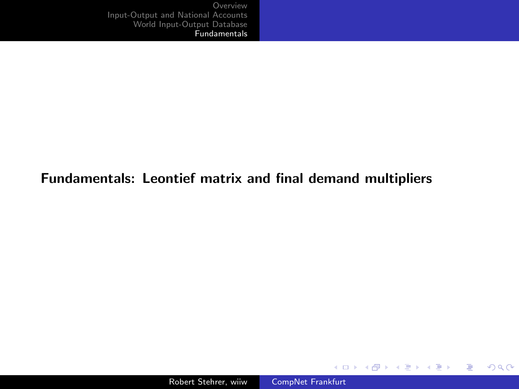### Fundamentals: Leontief matrix and final demand multipliers

メロメ メ御 メメ きょく きょう

<span id="page-24-0"></span>目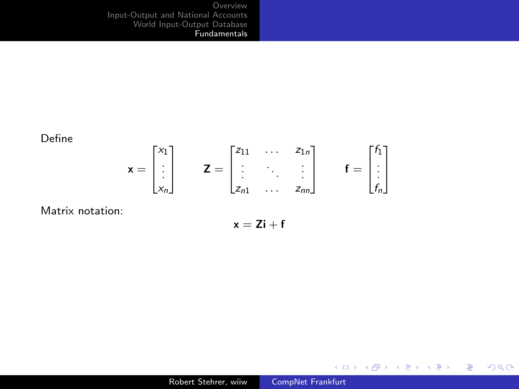Define

$$
\mathbf{x} = \begin{bmatrix} x_1 \\ \vdots \\ x_n \end{bmatrix} \qquad \mathbf{Z} = \begin{bmatrix} z_{11} & \dots & z_{1n} \\ \vdots & \ddots & \vdots \\ z_{n1} & \dots & z_{nn} \end{bmatrix} \qquad \mathbf{f} = \begin{bmatrix} f_1 \\ \vdots \\ f_n \end{bmatrix}
$$

Matrix notation:

$$
\mathbf{x} = \mathbf{Z} \mathbf{i} + \mathbf{f}
$$

メロメ メタメ メミメ メミメー

目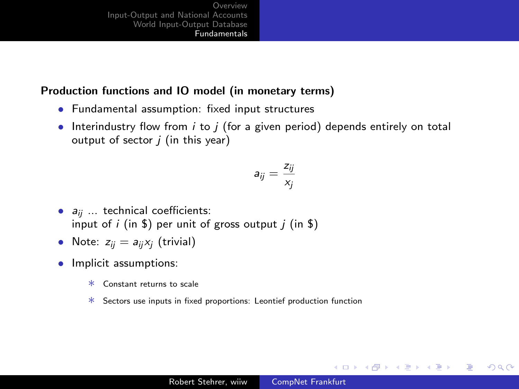### Production functions and IO model (in monetary terms)

- Fundamental assumption: fixed input structures
- Interindustry flow from  $i$  to  $j$  (for a given period) depends entirely on total output of sector  $j$  (in this year)

$$
a_{ij}=\frac{z_{ij}}{x_j}
$$

- $a_{ii}$  ... technical coefficients: input of i (in \$) per unit of gross output  $j$  (in \$)
- Note:  $z_{ii} = a_{ii}x_i$  (trivial)
- Implicit assumptions:
	- ∗ Constant returns to scale
	- ∗ Sectors use inputs in fixed proportions: Leontief production function

and an

- ∢ 何 ▶ -∢ ヨ ▶ -∢ ヨ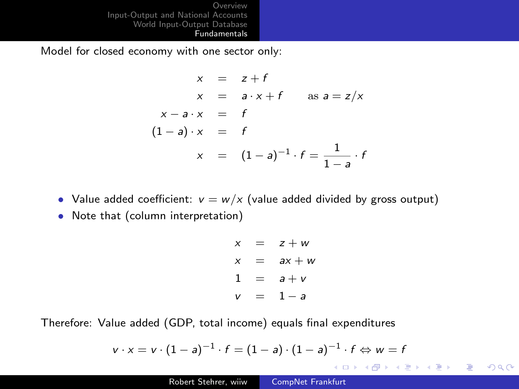Model for closed economy with one sector only:

$$
x = z + f
$$
  
\n
$$
x = a \cdot x + f \quad \text{as } a = z/x
$$
  
\n
$$
x - a \cdot x = f
$$
  
\n
$$
(1 - a) \cdot x = f
$$
  
\n
$$
x = (1 - a)^{-1} \cdot f = \frac{1}{1 - a} \cdot f
$$

- Value added coefficient:  $v = w/x$  (value added divided by gross output)
- Note that (column interpretation)

$$
x = z + w
$$
  
\n
$$
x = ax + w
$$
  
\n
$$
1 = a + v
$$
  
\n
$$
v = 1 - a
$$

Therefore: Value added (GDP, total income) equals final expenditures

$$
v \cdot x = v \cdot (1-a)^{-1} \cdot f = (1-a) \cdot (1-a)^{-1} \cdot f \Leftrightarrow w = f
$$

경기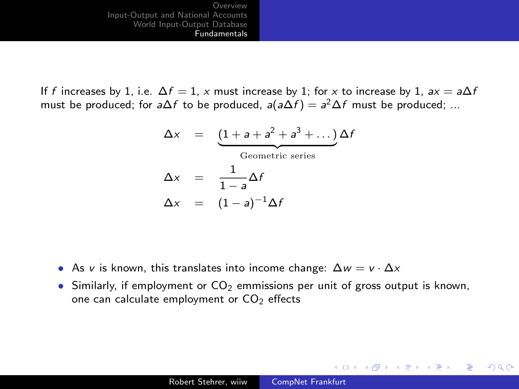If f increases by 1, i.e.  $\Delta f = 1$ , x must increase by 1; for x to increase by 1,  $ax = a\Delta f$ must be produced; for a $\Delta f$  to be produced, a $(a\Delta f) = a^2\Delta f$  must be produced; ...

$$
\Delta x = \underbrace{(1+a+a^2+a^3+...)}_{\text{Geometric series}} \Delta f
$$

$$
\Delta x = \frac{1}{1-a} \Delta f
$$

$$
\Delta x = (1-a)^{-1} \Delta f
$$

- As v is known, this translates into income change:  $\Delta w = v \cdot \Delta x$
- Similarly, if employment or  $CO<sub>2</sub>$  emmissions per unit of gross output is known, one can calculate employment or  $CO<sub>2</sub>$  effects

and in

4母 ト 4回 ト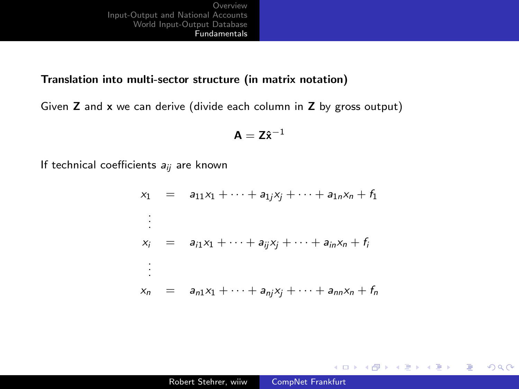### Translation into multi-sector structure (in matrix notation)

Given Z and x we can derive (divide each column in Z by gross output)

$$
\mathbf{A} = \mathbf{Z}\hat{\mathbf{x}}^{-1}
$$

If technical coefficients  $a_{ii}$  are known

$$
x_1 = a_{11}x_1 + \dots + a_{1j}x_j + \dots + a_{1n}x_n + f_1
$$
  
\n
$$
\vdots
$$
  
\n
$$
x_i = a_{i1}x_1 + \dots + a_{ij}x_j + \dots + a_{in}x_n + f_i
$$
  
\n
$$
\vdots
$$
  
\n
$$
x_n = a_{n1}x_1 + \dots + a_{nj}x_j + \dots + a_{nn}x_n + f_n
$$

 $299$ 

重

メロメ メ母メ メミメ メミメ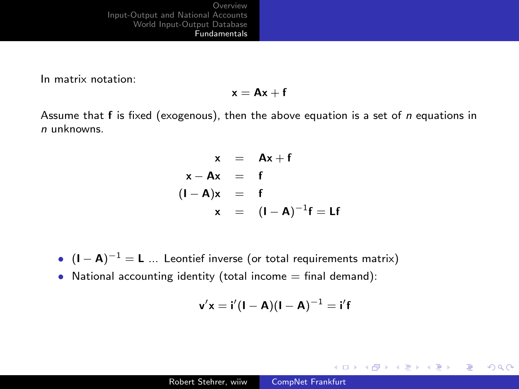In matrix notation:

 $x = Ax + f$ 

Assume that  $f$  is fixed (exogenous), then the above equation is a set of n equations in n unknowns.

$$
x = Ax + f
$$
  
\n
$$
x - Ax = f
$$
  
\n
$$
(I - A)x = f
$$
  
\n
$$
x = (I - A)^{-1}f = Lf
$$

•  $(I - A)^{-1} = L$  ... Leontief inverse (or total requirements matrix)

• National accounting identity (total income  $=$  final demand):

$$
\textbf{v}'\textbf{x} = \textbf{i}'(\textbf{I}-\textbf{A})(\textbf{I}-\textbf{A})^{-1} = \textbf{i}'\textbf{f}
$$

 $2990$ 

э

メロメ メ母メ メミメ メミメ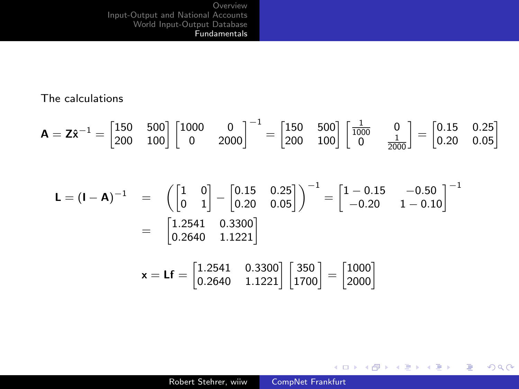### The calculations

$$
\mathbf{A} = \mathbf{Z}\hat{\mathbf{x}}^{-1} = \begin{bmatrix} 150 & 500 \\ 200 & 100 \end{bmatrix} \begin{bmatrix} 1000 & 0 \\ 0 & 2000 \end{bmatrix}^{-1} = \begin{bmatrix} 150 & 500 \\ 200 & 100 \end{bmatrix} \begin{bmatrix} \frac{1}{1000} & 0 \\ 0 & \frac{1}{2000} \end{bmatrix} = \begin{bmatrix} 0.15 & 0.25 \\ 0.20 & 0.05 \end{bmatrix}
$$

$$
\mathbf{L} = (\mathbf{I} - \mathbf{A})^{-1} = \begin{pmatrix} 1 & 0 \ 0 & 1 \end{pmatrix} - \begin{bmatrix} 0.15 & 0.25 \ 0.20 & 0.05 \end{bmatrix}^{-1} = \begin{bmatrix} 1 - 0.15 & -0.50 \ -0.20 & 1 - 0.10 \end{bmatrix}^{-1}
$$

$$
= \begin{bmatrix} 1.2541 & 0.3300 \ 0.2640 & 1.1221 \end{bmatrix}
$$

$$
\mathbf{x} = \mathbf{L} \mathbf{f} = \begin{bmatrix} 1.2541 & 0.3300 \\ 0.2640 & 1.1221 \end{bmatrix} \begin{bmatrix} 350 \\ 1700 \end{bmatrix} = \begin{bmatrix} 1000 \\ 2000 \end{bmatrix}
$$

メロメ メ御き メミメ メミメー

目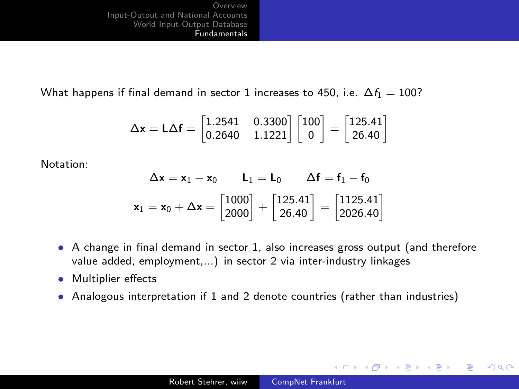What happens if final demand in sector 1 increases to 450, i.e.  $\Delta f_1 = 100$ ?

$$
\Delta \textbf{x} = \textbf{L} \Delta \textbf{f} = \begin{bmatrix} 1.2541 & 0.3300 \\ 0.2640 & 1.1221 \end{bmatrix} \begin{bmatrix} 100 \\ 0 \end{bmatrix} = \begin{bmatrix} 125.41 \\ 26.40 \end{bmatrix}
$$

Notation:

$$
\Delta \mathbf{x} = \mathbf{x}_1 - \mathbf{x}_0 \qquad \mathbf{L}_1 = \mathbf{L}_0 \qquad \Delta \mathbf{f} = \mathbf{f}_1 - \mathbf{f}_0
$$
\n
$$
\mathbf{x}_1 = \mathbf{x}_0 + \Delta \mathbf{x} = \begin{bmatrix} 1000 \\ 2000 \end{bmatrix} + \begin{bmatrix} 125.41 \\ 26.40 \end{bmatrix} = \begin{bmatrix} 1125.41 \\ 2026.40 \end{bmatrix}
$$

- A change in final demand in sector 1, also increases gross output (and therefore value added, employment,...) in sector 2 via inter-industry linkages
- Multiplier effects
- Analogous interpretation if 1 and 2 denote countries (rather than industries)

メロメ メ都 メメ きょくきょう

 $2990$ 

э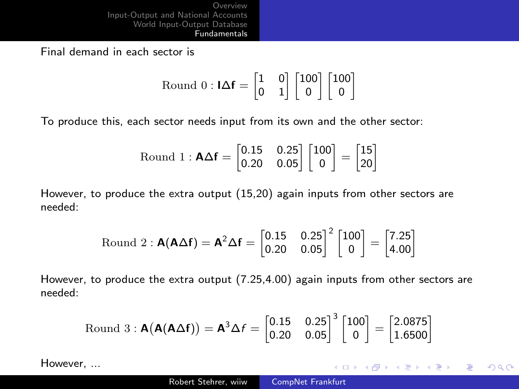Final demand in each sector is

Round 0 : 
$$
\mathbf{IAf} = \begin{bmatrix} 1 & 0 \\ 0 & 1 \end{bmatrix} \begin{bmatrix} 100 \\ 0 \end{bmatrix} \begin{bmatrix} 100 \\ 0 \end{bmatrix}
$$

To produce this, each sector needs input from its own and the other sector:

$$
\text{Round 1}: \mathbf{A} \Delta \mathbf{f} = \begin{bmatrix} 0.15 & 0.25 \\ 0.20 & 0.05 \end{bmatrix} \begin{bmatrix} 100 \\ 0 \end{bmatrix} = \begin{bmatrix} 15 \\ 20 \end{bmatrix}
$$

However, to produce the extra output (15,20) again inputs from other sectors are needed:

Round 2 : 
$$
\mathbf{A}(\mathbf{A}\Delta\mathbf{f}) = \mathbf{A}^2 \Delta\mathbf{f} = \begin{bmatrix} 0.15 & 0.25 \\ 0.20 & 0.05 \end{bmatrix}^2 \begin{bmatrix} 100 \\ 0 \end{bmatrix} = \begin{bmatrix} 7.25 \\ 4.00 \end{bmatrix}
$$

However, to produce the extra output (7.25,4.00) again inputs from other sectors are needed:

Round 3 : 
$$
\mathbf{A}(\mathbf{A}(\mathbf{A}\Delta\mathbf{f})) = \mathbf{A}^3 \Delta f = \begin{bmatrix} 0.15 & 0.25 \\ 0.20 & 0.05 \end{bmatrix}^3 \begin{bmatrix} 100 \\ 0 \end{bmatrix} = \begin{bmatrix} 2.0875 \\ 1.6500 \end{bmatrix}
$$

However, ...

イロメ イ母メ イヨメ イヨメー

 $\equiv$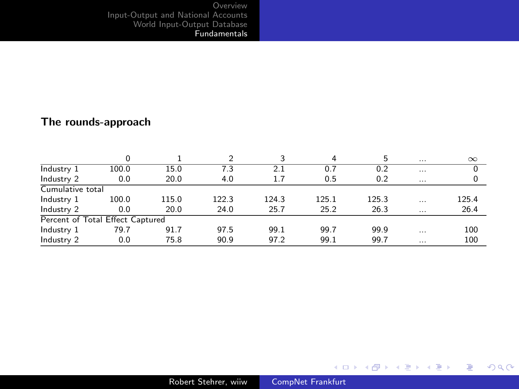### The rounds-approach

|                                  | $\Omega$ |       |       |       | 4     | 5     | $\cdots$ | $\infty$ |  |
|----------------------------------|----------|-------|-------|-------|-------|-------|----------|----------|--|
| Industry 1                       | 100.0    | 15.0  | 7.3   | 2.1   | 0.7   | 0.2   | $\cdots$ |          |  |
| Industry 2                       | 0.0      | 20.0  | 4.0   | 1.7   | 0.5   | 0.2   | $\cdots$ |          |  |
| Cumulative total                 |          |       |       |       |       |       |          |          |  |
| Industry 1                       | 100.0    | 115.0 | 122.3 | 124.3 | 125.1 | 125.3 | $\cdots$ | 125.4    |  |
| Industry 2                       | 0.0      | 20.0  | 24.0  | 25.7  | 25.2  | 26.3  | $\cdots$ | 26.4     |  |
| Percent of Total Effect Captured |          |       |       |       |       |       |          |          |  |
| Industry 1                       | 79.7     | 91.7  | 97.5  | 99.1  | 99.7  | 99.9  | $\cdots$ | 100      |  |
| Industry 2                       | 0.0      | 75.8  | 90.9  | 97.2  | 99.1  | 99.7  | $\cdots$ | 100      |  |

メロメ メタメ メミメ メミメー

重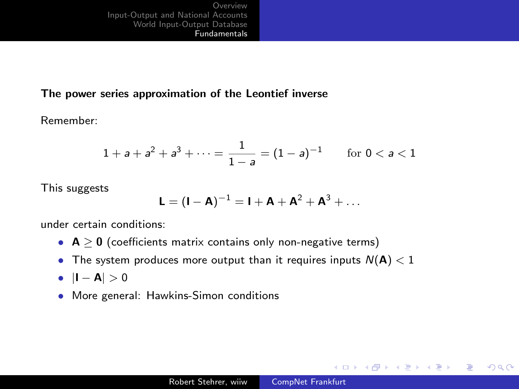### The power series approximation of the Leontief inverse

Remember:

$$
1 + a + a2 + a3 + \dots = \frac{1}{1 - a} = (1 - a)^{-1} \quad \text{for } 0 < a < 1
$$

This suggests

$$
\boldsymbol{L} = (\boldsymbol{I} - \boldsymbol{A})^{-1} = \boldsymbol{I} + \boldsymbol{A} + \boldsymbol{A}^2 + \boldsymbol{A}^3 + \ldots
$$

under certain conditions:

- $A > 0$  (coefficients matrix contains only non-negative terms)
- The system produces more output than it requires inputs  $N(A) < 1$
- $|I A| > 0$
- More general: Hawkins-Simon conditions

 $2990$ 

э

メロメ メ母メ メミメ メミメ